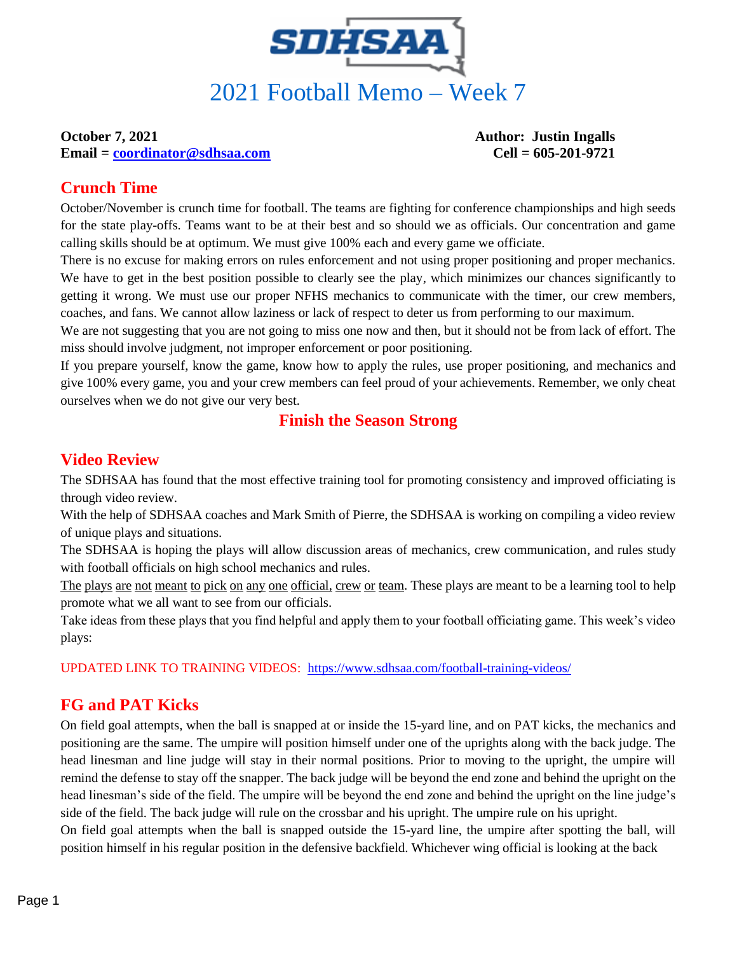

**Email = [coordinator@sdhsaa.com](mailto:coordinator@sdhsaa.com) Cell = 605-201-9721**

**October 7, 2021 Author: Justin Ingalls** 

#### **Crunch Time**

October/November is crunch time for football. The teams are fighting for conference championships and high seeds for the state play-offs. Teams want to be at their best and so should we as officials. Our concentration and game calling skills should be at optimum. We must give 100% each and every game we officiate.

There is no excuse for making errors on rules enforcement and not using proper positioning and proper mechanics. We have to get in the best position possible to clearly see the play, which minimizes our chances significantly to getting it wrong. We must use our proper NFHS mechanics to communicate with the timer, our crew members, coaches, and fans. We cannot allow laziness or lack of respect to deter us from performing to our maximum.

We are not suggesting that you are not going to miss one now and then, but it should not be from lack of effort. The miss should involve judgment, not improper enforcement or poor positioning.

If you prepare yourself, know the game, know how to apply the rules, use proper positioning, and mechanics and give 100% every game, you and your crew members can feel proud of your achievements. Remember, we only cheat ourselves when we do not give our very best.

#### **Finish the Season Strong**

#### **Video Review**

The SDHSAA has found that the most effective training tool for promoting consistency and improved officiating is through video review.

With the help of SDHSAA coaches and Mark Smith of Pierre, the SDHSAA is working on compiling a video review of unique plays and situations.

The SDHSAA is hoping the plays will allow discussion areas of mechanics, crew communication, and rules study with football officials on high school mechanics and rules.

The plays are not meant to pick on any one official, crew or team. These plays are meant to be a learning tool to help promote what we all want to see from our officials.

Take ideas from these plays that you find helpful and apply them to your football officiating game. This week's video plays:

UPDATED LINK TO TRAINING VIDEOS: <https://www.sdhsaa.com/football-training-videos/>

#### **FG and PAT Kicks**

On field goal attempts, when the ball is snapped at or inside the 15-yard line, and on PAT kicks, the mechanics and positioning are the same. The umpire will position himself under one of the uprights along with the back judge. The head linesman and line judge will stay in their normal positions. Prior to moving to the upright, the umpire will remind the defense to stay off the snapper. The back judge will be beyond the end zone and behind the upright on the head linesman's side of the field. The umpire will be beyond the end zone and behind the upright on the line judge's side of the field. The back judge will rule on the crossbar and his upright. The umpire rule on his upright. On field goal attempts when the ball is snapped outside the 15-yard line, the umpire after spotting the ball, will position himself in his regular position in the defensive backfield. Whichever wing official is looking at the back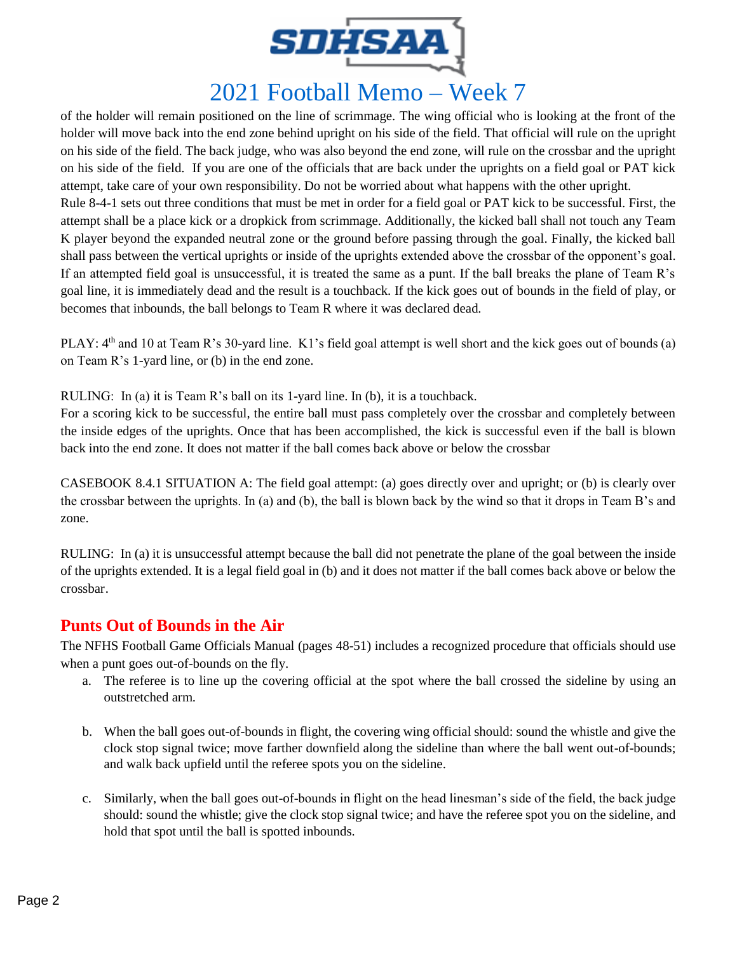

# 2021 Football Memo – Week 7

of the holder will remain positioned on the line of scrimmage. The wing official who is looking at the front of the holder will move back into the end zone behind upright on his side of the field. That official will rule on the upright on his side of the field. The back judge, who was also beyond the end zone, will rule on the crossbar and the upright on his side of the field. If you are one of the officials that are back under the uprights on a field goal or PAT kick attempt, take care of your own responsibility. Do not be worried about what happens with the other upright. Rule 8-4-1 sets out three conditions that must be met in order for a field goal or PAT kick to be successful. First, the attempt shall be a place kick or a dropkick from scrimmage. Additionally, the kicked ball shall not touch any Team K player beyond the expanded neutral zone or the ground before passing through the goal. Finally, the kicked ball shall pass between the vertical uprights or inside of the uprights extended above the crossbar of the opponent's goal. If an attempted field goal is unsuccessful, it is treated the same as a punt. If the ball breaks the plane of Team R's goal line, it is immediately dead and the result is a touchback. If the kick goes out of bounds in the field of play, or becomes that inbounds, the ball belongs to Team R where it was declared dead.

PLAY:  $4<sup>th</sup>$  and 10 at Team R's 30-yard line. K1's field goal attempt is well short and the kick goes out of bounds (a) on Team R's 1-yard line, or (b) in the end zone.

RULING: In (a) it is Team R's ball on its 1-yard line. In (b), it is a touchback.

For a scoring kick to be successful, the entire ball must pass completely over the crossbar and completely between the inside edges of the uprights. Once that has been accomplished, the kick is successful even if the ball is blown back into the end zone. It does not matter if the ball comes back above or below the crossbar

CASEBOOK 8.4.1 SITUATION A: The field goal attempt: (a) goes directly over and upright; or (b) is clearly over the crossbar between the uprights. In (a) and (b), the ball is blown back by the wind so that it drops in Team B's and zone.

RULING: In (a) it is unsuccessful attempt because the ball did not penetrate the plane of the goal between the inside of the uprights extended. It is a legal field goal in (b) and it does not matter if the ball comes back above or below the crossbar.

#### **Punts Out of Bounds in the Air**

The NFHS Football Game Officials Manual (pages 48-51) includes a recognized procedure that officials should use when a punt goes out-of-bounds on the fly.

- a. The referee is to line up the covering official at the spot where the ball crossed the sideline by using an outstretched arm.
- b. When the ball goes out-of-bounds in flight, the covering wing official should: sound the whistle and give the clock stop signal twice; move farther downfield along the sideline than where the ball went out-of-bounds; and walk back upfield until the referee spots you on the sideline.
- c. Similarly, when the ball goes out-of-bounds in flight on the head linesman's side of the field, the back judge should: sound the whistle; give the clock stop signal twice; and have the referee spot you on the sideline, and hold that spot until the ball is spotted inbounds.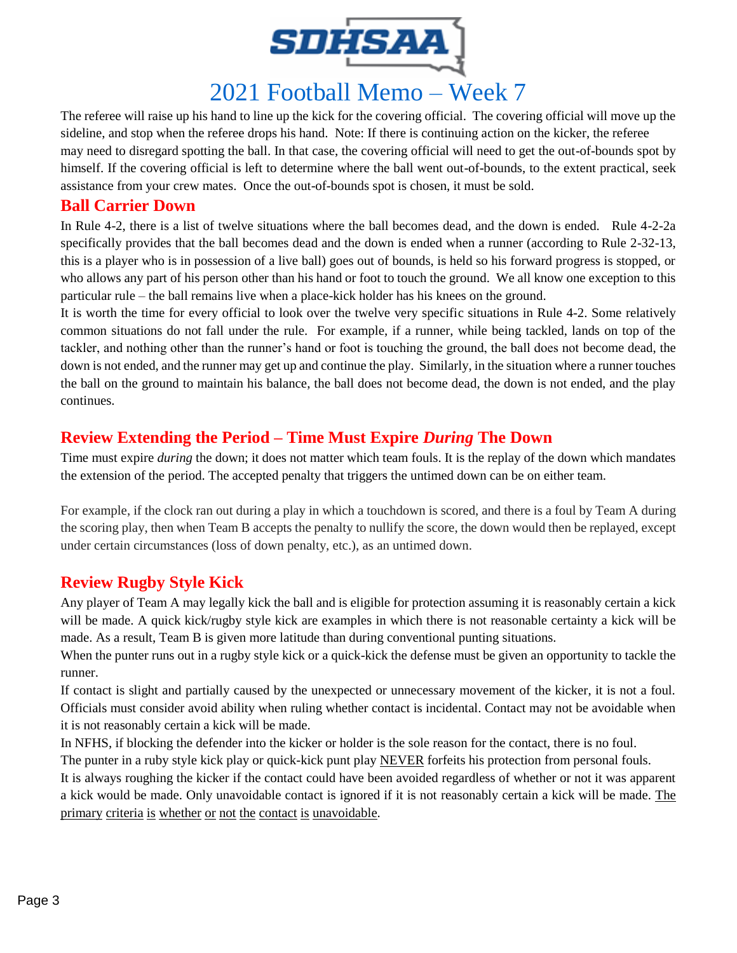

## 2021 Football Memo – Week 7

The referee will raise up his hand to line up the kick for the covering official. The covering official will move up the sideline, and stop when the referee drops his hand. Note: If there is continuing action on the kicker, the referee may need to disregard spotting the ball. In that case, the covering official will need to get the out-of-bounds spot by himself. If the covering official is left to determine where the ball went out-of-bounds, to the extent practical, seek assistance from your crew mates. Once the out-of-bounds spot is chosen, it must be sold.

#### **Ball Carrier Down**

In Rule 4-2, there is a list of twelve situations where the ball becomes dead, and the down is ended. Rule 4-2-2a specifically provides that the ball becomes dead and the down is ended when a runner (according to Rule 2-32-13, this is a player who is in possession of a live ball) goes out of bounds, is held so his forward progress is stopped, or who allows any part of his person other than his hand or foot to touch the ground. We all know one exception to this particular rule – the ball remains live when a place-kick holder has his knees on the ground.

It is worth the time for every official to look over the twelve very specific situations in Rule 4-2. Some relatively common situations do not fall under the rule. For example, if a runner, while being tackled, lands on top of the tackler, and nothing other than the runner's hand or foot is touching the ground, the ball does not become dead, the down is not ended, and the runner may get up and continue the play. Similarly, in the situation where a runner touches the ball on the ground to maintain his balance, the ball does not become dead, the down is not ended, and the play continues.

#### **Review Extending the Period – Time Must Expire** *During* **The Down**

Time must expire *during* the down; it does not matter which team fouls. It is the replay of the down which mandates the extension of the period. The accepted penalty that triggers the untimed down can be on either team.

For example, if the clock ran out during a play in which a touchdown is scored, and there is a foul by Team A during the scoring play, then when Team B accepts the penalty to nullify the score, the down would then be replayed, except under certain circumstances (loss of down penalty, etc.), as an untimed down.

#### **Review Rugby Style Kick**

Any player of Team A may legally kick the ball and is eligible for protection assuming it is reasonably certain a kick will be made. A quick kick/rugby style kick are examples in which there is not reasonable certainty a kick will be made. As a result, Team B is given more latitude than during conventional punting situations.

When the punter runs out in a rugby style kick or a quick-kick the defense must be given an opportunity to tackle the runner.

If contact is slight and partially caused by the unexpected or unnecessary movement of the kicker, it is not a foul. Officials must consider avoid ability when ruling whether contact is incidental. Contact may not be avoidable when it is not reasonably certain a kick will be made.

In NFHS, if blocking the defender into the kicker or holder is the sole reason for the contact, there is no foul.

The punter in a ruby style kick play or quick-kick punt play NEVER forfeits his protection from personal fouls.

It is always roughing the kicker if the contact could have been avoided regardless of whether or not it was apparent a kick would be made. Only unavoidable contact is ignored if it is not reasonably certain a kick will be made. The primary criteria is whether or not the contact is unavoidable.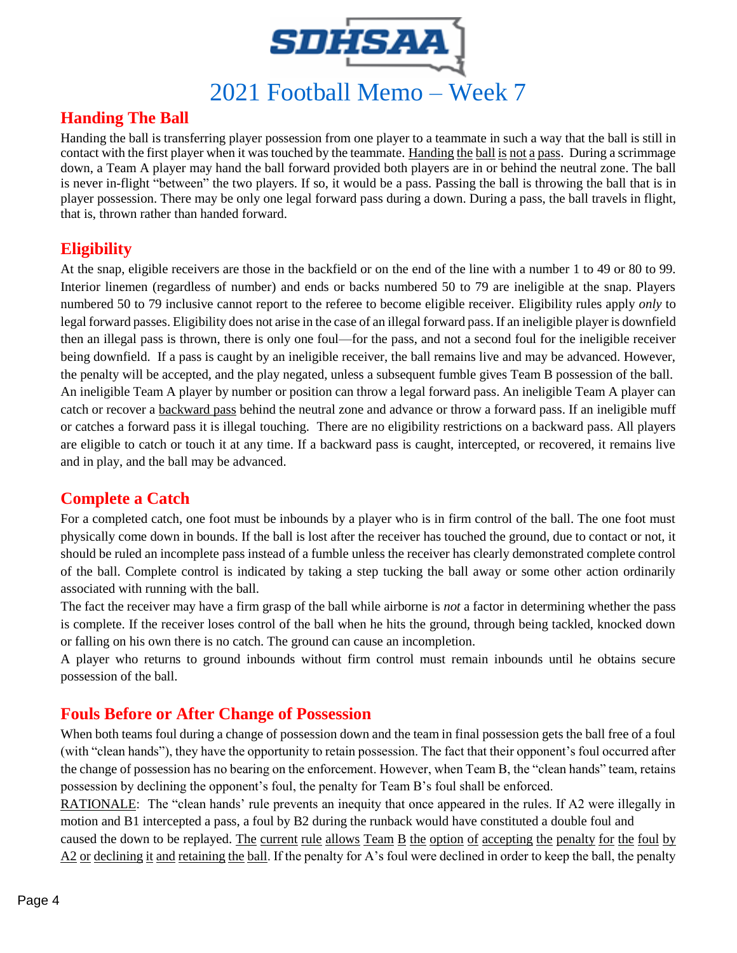

### **Handing The Ball**

Handing the ball is transferring player possession from one player to a teammate in such a way that the ball is still in contact with the first player when it was touched by the teammate. Handing the ball is not a pass. During a scrimmage down, a Team A player may hand the ball forward provided both players are in or behind the neutral zone. The ball is never in-flight "between" the two players. If so, it would be a pass. Passing the ball is throwing the ball that is in player possession. There may be only one legal forward pass during a down. During a pass, the ball travels in flight, that is, thrown rather than handed forward.

#### **Eligibility**

At the snap, eligible receivers are those in the backfield or on the end of the line with a number 1 to 49 or 80 to 99. Interior linemen (regardless of number) and ends or backs numbered 50 to 79 are ineligible at the snap. Players numbered 50 to 79 inclusive cannot report to the referee to become eligible receiver. Eligibility rules apply *only* to legal forward passes. Eligibility does not arise in the case of an illegal forward pass. If an ineligible player is downfield then an illegal pass is thrown, there is only one foul—for the pass, and not a second foul for the ineligible receiver being downfield. If a pass is caught by an ineligible receiver, the ball remains live and may be advanced. However, the penalty will be accepted, and the play negated, unless a subsequent fumble gives Team B possession of the ball. An ineligible Team A player by number or position can throw a legal forward pass. An ineligible Team A player can catch or recover a backward pass behind the neutral zone and advance or throw a forward pass. If an ineligible muff or catches a forward pass it is illegal touching. There are no eligibility restrictions on a backward pass. All players are eligible to catch or touch it at any time. If a backward pass is caught, intercepted, or recovered, it remains live and in play, and the ball may be advanced.

#### **Complete a Catch**

For a completed catch, one foot must be inbounds by a player who is in firm control of the ball. The one foot must physically come down in bounds. If the ball is lost after the receiver has touched the ground, due to contact or not, it should be ruled an incomplete pass instead of a fumble unless the receiver has clearly demonstrated complete control of the ball. Complete control is indicated by taking a step tucking the ball away or some other action ordinarily associated with running with the ball.

The fact the receiver may have a firm grasp of the ball while airborne is *not* a factor in determining whether the pass is complete. If the receiver loses control of the ball when he hits the ground, through being tackled, knocked down or falling on his own there is no catch. The ground can cause an incompletion.

A player who returns to ground inbounds without firm control must remain inbounds until he obtains secure possession of the ball.

#### **Fouls Before or After Change of Possession**

When both teams foul during a change of possession down and the team in final possession gets the ball free of a foul (with "clean hands"), they have the opportunity to retain possession. The fact that their opponent's foul occurred after the change of possession has no bearing on the enforcement. However, when Team B, the "clean hands" team, retains possession by declining the opponent's foul, the penalty for Team B's foul shall be enforced.

RATIONALE: The "clean hands' rule prevents an inequity that once appeared in the rules. If A2 were illegally in motion and B1 intercepted a pass, a foul by B2 during the runback would have constituted a double foul and caused the down to be replayed. The current rule allows Team B the option of accepting the penalty for the foul by A2 or declining it and retaining the ball. If the penalty for A's foul were declined in order to keep the ball, the penalty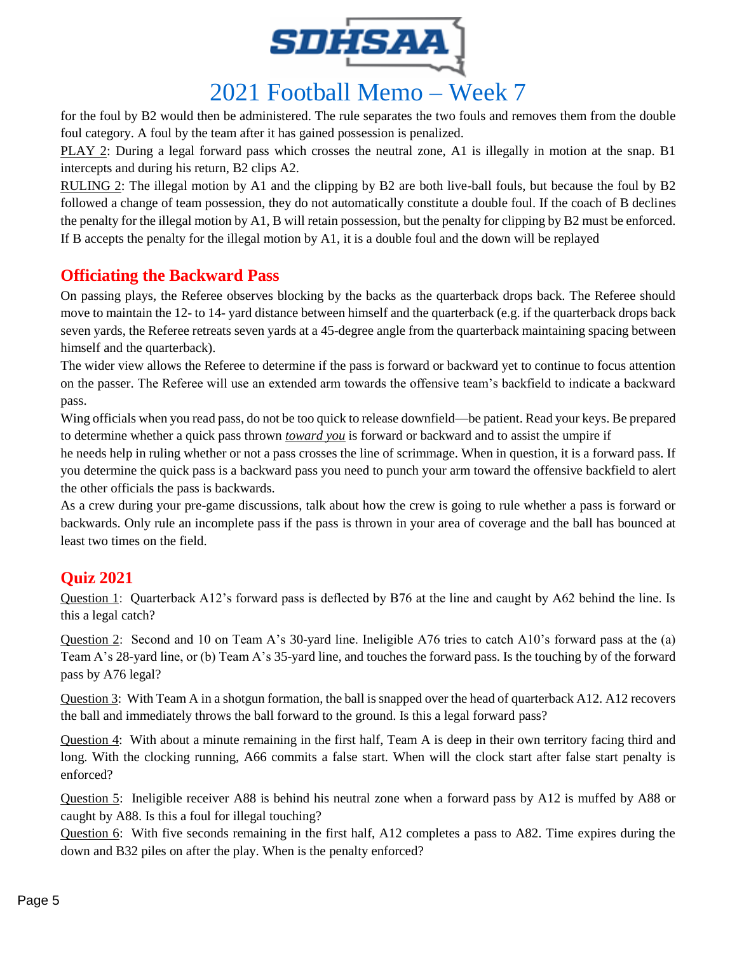

## 2021 Football Memo – Week 7

for the foul by B2 would then be administered. The rule separates the two fouls and removes them from the double foul category. A foul by the team after it has gained possession is penalized.

PLAY 2: During a legal forward pass which crosses the neutral zone, A1 is illegally in motion at the snap. B1 intercepts and during his return, B2 clips A2.

RULING 2: The illegal motion by A1 and the clipping by B2 are both live-ball fouls, but because the foul by B2 followed a change of team possession, they do not automatically constitute a double foul. If the coach of B declines the penalty for the illegal motion by A1, B will retain possession, but the penalty for clipping by B2 must be enforced. If B accepts the penalty for the illegal motion by A1, it is a double foul and the down will be replayed

#### **Officiating the Backward Pass**

On passing plays, the Referee observes blocking by the backs as the quarterback drops back. The Referee should move to maintain the 12- to 14- yard distance between himself and the quarterback (e.g. if the quarterback drops back seven yards, the Referee retreats seven yards at a 45-degree angle from the quarterback maintaining spacing between himself and the quarterback).

The wider view allows the Referee to determine if the pass is forward or backward yet to continue to focus attention on the passer. The Referee will use an extended arm towards the offensive team's backfield to indicate a backward pass.

Wing officials when you read pass, do not be too quick to release downfield—be patient. Read your keys. Be prepared to determine whether a quick pass thrown *toward you* is forward or backward and to assist the umpire if

he needs help in ruling whether or not a pass crosses the line of scrimmage. When in question, it is a forward pass. If you determine the quick pass is a backward pass you need to punch your arm toward the offensive backfield to alert the other officials the pass is backwards.

As a crew during your pre-game discussions, talk about how the crew is going to rule whether a pass is forward or backwards. Only rule an incomplete pass if the pass is thrown in your area of coverage and the ball has bounced at least two times on the field.

#### **Quiz 2021**

Question 1: Quarterback A12's forward pass is deflected by B76 at the line and caught by A62 behind the line. Is this a legal catch?

Question 2: Second and 10 on Team A's 30-yard line. Ineligible A76 tries to catch A10's forward pass at the (a) Team A's 28-yard line, or (b) Team A's 35-yard line, and touches the forward pass. Is the touching by of the forward pass by A76 legal?

Question 3: With Team A in a shotgun formation, the ball is snapped over the head of quarterback A12. A12 recovers the ball and immediately throws the ball forward to the ground. Is this a legal forward pass?

Question 4: With about a minute remaining in the first half, Team A is deep in their own territory facing third and long. With the clocking running, A66 commits a false start. When will the clock start after false start penalty is enforced?

Question 5: Ineligible receiver A88 is behind his neutral zone when a forward pass by A12 is muffed by A88 or caught by A88. Is this a foul for illegal touching?

Question 6: With five seconds remaining in the first half, A12 completes a pass to A82. Time expires during the down and B32 piles on after the play. When is the penalty enforced?